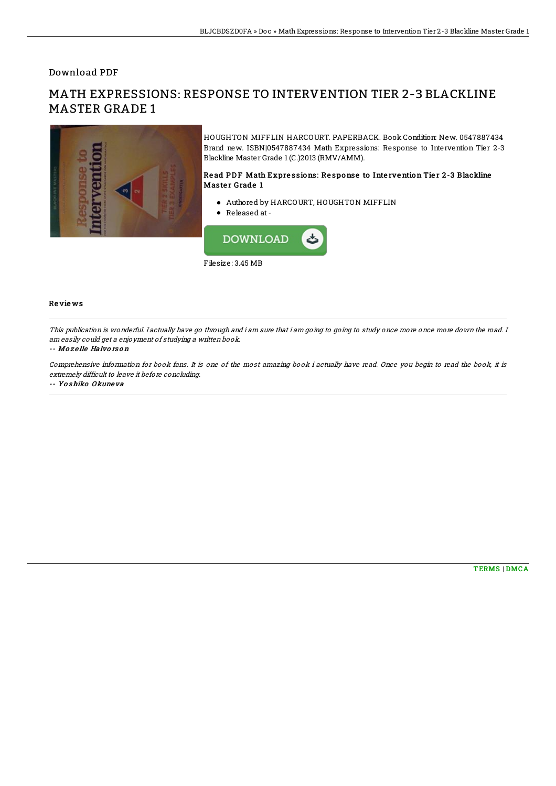Download PDF

# MATH EXPRESSIONS: RESPONSE TO INTERVENTION TIER 2-3 BLACKLINE MASTER GRADE 1



HOUGHTON MIFFLIN HARCOURT. PAPERBACK. Book Condition: New. 0547887434 Brand new. ISBN|0547887434 Math Expressions: Response to Intervention Tier 2-3 Blackline Master Grade 1 (C.)2013 (RMV/AMM).

### Read PDF Math Expressions: Response to Intervention Tier 2-3 Blackline Master Grade 1

- Authored by HARCOURT, HOUGHTON MIFFLIN
- Released at-



#### Re vie ws

This publication is wonderful. I actually have go through and i am sure that i am going to going to study once more once more down the road. I am easily could get <sup>a</sup> enjoyment of studying <sup>a</sup> written book.

#### -- Mo <sup>z</sup> e lle Halvo rs o <sup>n</sup>

Comprehensive information for book fans. It is one of the most amazing book i actually have read. Once you begin to read the book, it is extremely difficult to leave it before concluding.

-- Yo s hiko O kune va